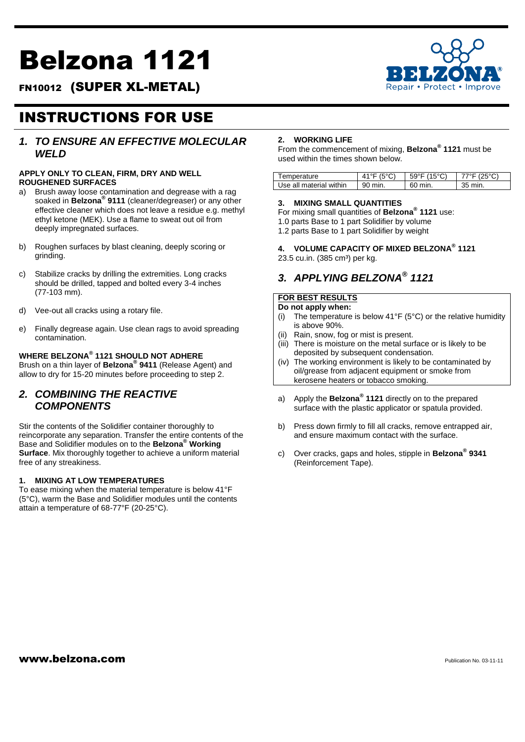# Belzona 1121

FN10012 (SUPER XL-METAL)



## INSTRUCTIONS FOR USE

## *1. TO ENSURE AN EFFECTIVE MOLECULAR WELD*

#### **APPLY ONLY TO CLEAN, FIRM, DRY AND WELL ROUGHENED SURFACES**

- a) Brush away loose contamination and degrease with a rag soaked in **Belzona® 9111** (cleaner/degreaser) or any other effective cleaner which does not leave a residue e.g. methyl ethyl ketone (MEK). Use a flame to sweat out oil from deeply impregnated surfaces.
- b) Roughen surfaces by blast cleaning, deeply scoring or grinding.
- c) Stabilize cracks by drilling the extremities. Long cracks should be drilled, tapped and bolted every 3-4 inches (77-103 mm).
- d) Vee-out all cracks using a rotary file.
- e) Finally degrease again. Use clean rags to avoid spreading contamination.

#### **WHERE BELZONA® 1121 SHOULD NOT ADHERE**

Brush on a thin layer of **Belzona® 9411** (Release Agent) and allow to dry for 15-20 minutes before proceeding to step 2.

## *2. COMBINING THE REACTIVE COMPONENTS*

Stir the contents of the Solidifier container thoroughly to reincorporate any separation. Transfer the entire contents of the Base and Solidifier modules on to the **Belzona® Working Surface**. Mix thoroughly together to achieve a uniform material free of any streakiness.

#### **1. MIXING AT LOW TEMPERATURES**

To ease mixing when the material temperature is below 41°F (5°C), warm the Base and Solidifier modules until the contents attain a temperature of 68-77°F (20-25°C).

#### **2. WORKING LIFE**

From the commencement of mixing, **Belzona® 1121** must be used within the times shown below.

| 'emperature             |     | (150) | ′າ⊏∘∩∖ |
|-------------------------|-----|-------|--------|
| Use all material within | min | min.  | min.   |

#### **3. MIXING SMALL QUANTITIES**

- For mixing small quantities of **Belzona® 1121** use:
- 1.0 parts Base to 1 part Solidifier by volume
- 1.2 parts Base to 1 part Solidifier by weight

**4. VOLUME CAPACITY OF MIXED BELZONA® 1121** 23.5 cu.in. (385 cm<sup>3</sup>) per kg.

## *3. APPLYING BELZONA® 1121*

### **FOR BEST RESULTS**

## **Do not apply when:**

- (i) The temperature is below 41°F (5°C) or the relative humidity is above 90%.
- (ii) Rain, snow, fog or mist is present.
- (iii) There is moisture on the metal surface or is likely to be deposited by subsequent condensation.
- (iv) The working environment is likely to be contaminated by oil/grease from adjacent equipment or smoke from kerosene heaters or tobacco smoking.
- a) Apply the **Belzona® 1121** directly on to the prepared surface with the plastic applicator or spatula provided.
- b) Press down firmly to fill all cracks, remove entrapped air, and ensure maximum contact with the surface.
- c) Over cracks, gaps and holes, stipple in **Belzona® 9341**  (Reinforcement Tape).